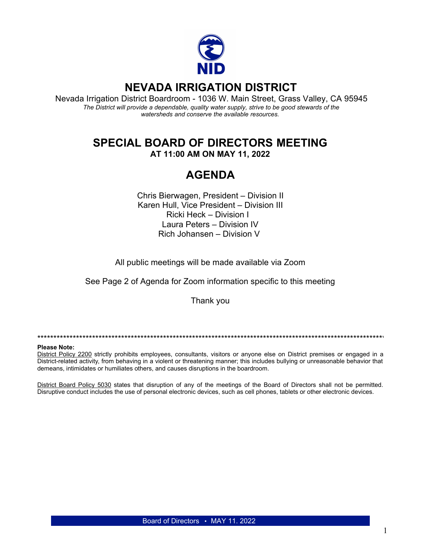

## **NEVADA IRRIGATION DISTRICT**

Nevada Irrigation District Boardroom - 1036 W. Main Street, Grass Valley, CA 95945 The District will provide a dependable, quality water supply, strive to be good stewards of the watersheds and conserve the available resources.

# **SPECIAL BOARD OF DIRECTORS MEETING**

AT 11:00 AM ON MAY 11, 2022

# **AGENDA**

Chris Bierwagen, President - Division II Karen Hull, Vice President - Division III Ricki Heck - Division I Laura Peters - Division IV Rich Johansen - Division V

All public meetings will be made available via Zoom

See Page 2 of Agenda for Zoom information specific to this meeting

Thank you

#### **Please Note:**

District Policy 2200 strictly prohibits employees, consultants, visitors or anyone else on District premises or engaged in a District-related activity, from behaving in a violent or threatening manner; this includes bullying or unreasonable behavior that demeans, intimidates or humiliates others, and causes disruptions in the boardroom.

District Board Policy 5030 states that disruption of any of the meetings of the Board of Directors shall not be permitted. Disruptive conduct includes the use of personal electronic devices, such as cell phones, tablets or other electronic devices.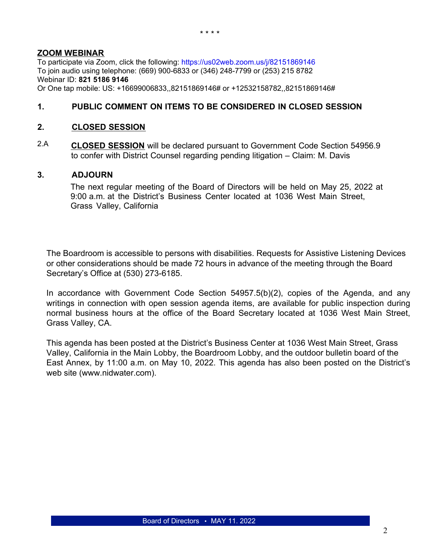### **ZOOM WEBINAR**

To participate via Zoom, click the following:<https://us02web.zoom.us/j/82151869146> To join audio using telephone: (669) 900-6833 or (346) 248-7799 or (253) 215 8782 Webinar ID: **821 5186 9146** Or One tap mobile: US: +16699006833,,82151869146# or +12532158782,,82151869146#

### **1. PUBLIC COMMENT ON ITEMS TO BE CONSIDERED IN CLOSED SESSION**

### **2. CLOSED SESSION**

2.A **CLOSED SESSION** will be declared pursuant to Government Code Section 54956.9 to confer with District Counsel regarding pending litigation – Claim: M. Davis

#### **3. ADJOURN**

The next regular meeting of the Board of Directors will be held on May 25, 2022 at 9:00 a.m. at the District's Business Center located at 1036 West Main Street, Grass Valley, California

The Boardroom is accessible to persons with disabilities. Requests for Assistive Listening Devices or other considerations should be made 72 hours in advance of the meeting through the Board Secretary's Office at (530) 273-6185.

In accordance with Government Code Section 54957.5(b)(2), copies of the Agenda, and any writings in connection with open session agenda items, are available for public inspection during normal business hours at the office of the Board Secretary located at 1036 West Main Street, Grass Valley, CA.

This agenda has been posted at the District's Business Center at 1036 West Main Street, Grass Valley, California in the Main Lobby, the Boardroom Lobby, and the outdoor bulletin board of the East Annex, by 11:00 a.m. on May 10, 2022. This agenda has also been posted on the District's web site (www.nidwater.com).